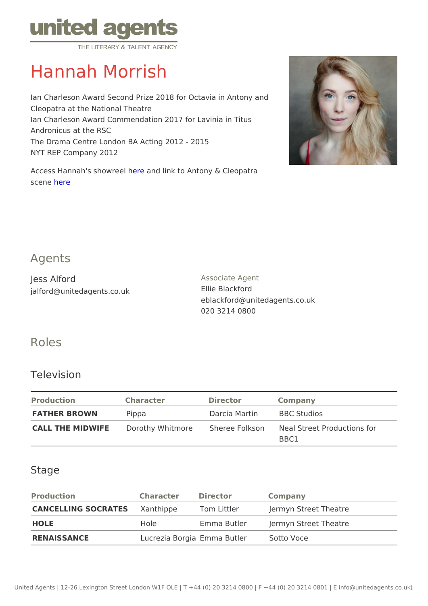# Hannah Morrish

Ian Charleson Award Second Prize 2018 for Octavia in Antony and Cleopatra at the National Theatre Ian Charleson Award Commendation 2017 for Lavinia in Titus Andronicus at the RSC The Drama Centre London BA Acting 2012 - 2015 NYT REP Company 2012

Access Hannah's s[how](https://vimeo.com/521920051) eaed link to Antony & Cleopatra scenhere

#### Agents

| Jess Alford                | Associate Agent               |
|----------------------------|-------------------------------|
| jalford@unitedagents.co.uk | Ellie Blackford               |
|                            | eblackford@unitedagents.co.uk |
|                            | 020 3214 0800                 |

## Roles

#### Television

| Production         | Character | Director                  | Company                                                                      |
|--------------------|-----------|---------------------------|------------------------------------------------------------------------------|
| FATHER BROWN Pippa |           | Darcia Martin BBC Studios |                                                                              |
|                    |           |                           | CALL THE MIDWIFED or othy Whitmor&heree Folks on heal Street Productions for |
|                    |           |                           | B B C 1                                                                      |

## Stage

| Production  | Character Director |                                      | Company                                                        |
|-------------|--------------------|--------------------------------------|----------------------------------------------------------------|
|             |                    |                                      | CANCELLING SOCRATXEaShthippe Tom Littler Jermyn Street Theatre |
| HOLE        | Hole               |                                      | Emma Butler Jermyn Street Theatre                              |
| RENAISSANCE |                    | Lucrezia BoEgmiana Butler Sotto Voce |                                                                |